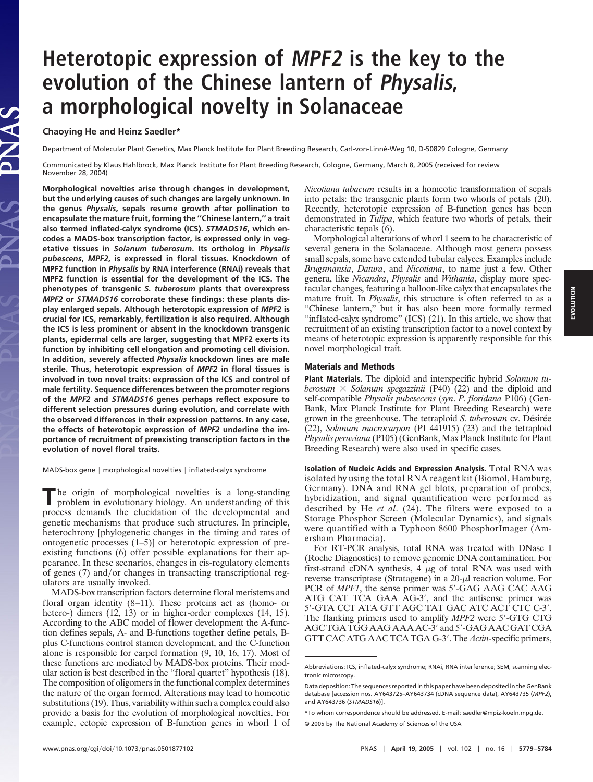# **Heterotopic expression of MPF2 is the key to the evolution of the Chinese lantern of Physalis, a morphological novelty in Solanaceae**

### **Chaoying He and Heinz Saedler\***

Department of Molecular Plant Genetics, Max Planck Institute for Plant Breeding Research, Carl-von-Linné-Weg 10, D-50829 Cologne, Germany

Communicated by Klaus Hahlbrock, Max Planck Institute for Plant Breeding Research, Cologne, Germany, March 8, 2005 (received for review November 28, 2004)

**Morphological novelties arise through changes in development, but the underlying causes of such changes are largely unknown. In the genus** *Physalis***, sepals resume growth after pollination to encapsulate the mature fruit, forming the ''Chinese lantern,'' a trait also termed inflated-calyx syndrome (ICS).** *STMADS16***, which encodes a MADS-box transcription factor, is expressed only in vegetative tissues in** *Solanum tuberosum***. Its ortholog in** *Physalis pubescens***,** *MPF2***, is expressed in floral tissues. Knockdown of MPF2 function in** *Physalis* **by RNA interference (RNAi) reveals that MPF2 function is essential for the development of the ICS. The phenotypes of transgenic** *S. tuberosum* **plants that overexpress** *MPF2* **or** *STMADS16* **corroborate these findings: these plants display enlarged sepals. Although heterotopic expression of** *MPF2* **is crucial for ICS, remarkably, fertilization is also required. Although the ICS is less prominent or absent in the knockdown transgenic plants, epidermal cells are larger, suggesting that MPF2 exerts its function by inhibiting cell elongation and promoting cell division. In addition, severely affected** *Physalis* **knockdown lines are male sterile. Thus, heterotopic expression of** *MPF2* **in floral tissues is involved in two novel traits: expression of the ICS and control of male fertility. Sequence differences between the promoter regions of the** *MPF2* **and** *STMADS16* **genes perhaps reflect exposure to different selection pressures during evolution, and correlate with the observed differences in their expression patterns. In any case, the effects of heterotopic expression of** *MPF2* **underline the importance of recruitment of preexisting transcription factors in the evolution of novel floral traits.**

MADS-box gene | morphological novelties | inflated-calyx syndrome

The origin of morphological novelties is a long-standing problem in evolutionary biology. An understanding of this process demands the elucidation of the developmental and genetic mechanisms that produce such structures. In principle, heterochrony [phylogenetic changes in the timing and rates of ontogenetic processes (1–5)] or heterotopic expression of preexisting functions (6) offer possible explanations for their appearance. In these scenarios, changes in cis-regulatory elements of genes (7) and/or changes in transacting transcriptional regulators are usually invoked.

MADS-box transcription factors determine floral meristems and floral organ identity (8–11). These proteins act as (homo- or hetero-) dimers (12, 13) or in higher-order complexes (14, 15). According to the ABC model of flower development the A-function defines sepals, A- and B-functions together define petals, Bplus C-functions control stamen development, and the C-function alone is responsible for carpel formation (9, 10, 16, 17). Most of these functions are mediated by MADS-box proteins. Their modular action is best described in the ''floral quartet'' hypothesis (18). The composition of oligomers in the functional complex determines the nature of the organ formed. Alterations may lead to homeotic substitutions (19). Thus, variability within such a complex could also provide a basis for the evolution of morphological novelties. For example, ectopic expression of B-function genes in whorl 1 of

*Nicotiana tabacum* results in a homeotic transformation of sepals into petals: the transgenic plants form two whorls of petals (20). Recently, heterotopic expression of B-function genes has been demonstrated in *Tulipa*, which feature two whorls of petals, their characteristic tepals (6).

Morphological alterations of whorl 1 seem to be characteristic of several genera in the Solanaceae. Although most genera possess small sepals, some have extended tubular calyces. Examples include *Brugsmansia*, *Datura*, and *Nicotiana*, to name just a few. Other genera, like *Nicandra*, *Physalis* and *Withania*, display more spectacular changes, featuring a balloon-like calyx that encapsulates the mature fruit. In *Physalis*, this structure is often referred to as a ''Chinese lantern,'' but it has also been more formally termed "inflated-calyx syndrome" (ICS) (21). In this article, we show that recruitment of an existing transcription factor to a novel context by means of heterotopic expression is apparently responsible for this novel morphological trait.

#### **Materials and Methods**

**Plant Materials.** The diploid and interspecific hybrid *Solanum tuberosum*  $\times$  *Solanum spegazzinii* (P40) (22) and the diploid and self-compatible *Physalis pubesecens* (*syn*. *P*. *floridana* P106) (Gen-Bank, Max Planck Institute for Plant Breeding Research) were grown in the greenhouse. The tetraploid *S. tuberosum* cv. Désirée (22), *Solanum macrocarpon* (PI 441915) (23) and the tetraploid *Physalis peruviana* (P105) (GenBank, Max Planck Institute for Plant Breeding Research) were also used in specific cases.

**Isolation of Nucleic Acids and Expression Analysis.** Total RNA was isolated by using the total RNA reagent kit (Biomol, Hamburg, Germany). DNA and RNA gel blots, preparation of probes, hybridization, and signal quantification were performed as described by He *et al*. (24). The filters were exposed to a Storage Phosphor Screen (Molecular Dynamics), and signals were quantified with a Typhoon 8600 PhosphorImager (Amersham Pharmacia).

For RT-PCR analysis, total RNA was treated with DNase I (Roche Diagnostics) to remove genomic DNA contamination. For first-strand cDNA synthesis,  $4 \mu g$  of total RNA was used with reverse transcriptase (Stratagene) in a  $20-\mu l$  reaction volume. For PCR of *MPF1*, the sense primer was 5'-GAG AAG CAC AAG ATG CAT TCA GAA AG-3', and the antisense primer was 5--GTA CCT ATA GTT AGC TAT GAC ATC ACT CTC C-3-. The flanking primers used to amplify *MPF2* were 5'-GTG CTG AGC TGA TGG AAG AAA AC-3' and 5'-GAG AAC GAT CGA GTT CAC ATG AAC TCA TGA G-3'. The *Actin*-specific primers,

EVOLUTION **EVOLUTION**

Abbreviations: ICS, inflated-calyx syndrome; RNAi, RNA interference; SEM, scanning electronic microscopy.

Data deposition: The sequences reported in this paper have been deposited in the GenBank database [accession nos. AY643725–AY643734 (cDNA sequence data), AY643735 (*MPF2*), and AY643736 (*STMADS16*)].

<sup>\*</sup>To whom correspondence should be addressed. E-mail: saedler@mpiz-koeln.mpg.de.

<sup>© 2005</sup> by The National Academy of Sciences of the USA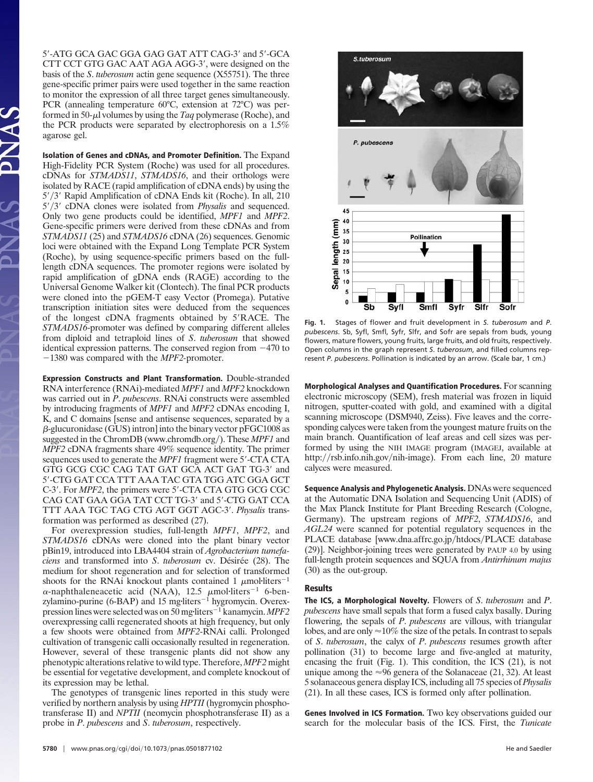5'-ATG GCA GAC GGA GAG GAT ATT CAG-3' and 5'-GCA CTT CCT GTG GAC AAT AGA AGG-3', were designed on the basis of the *S*. *tuberosum* actin gene sequence (X55751). The three gene-specific primer pairs were used together in the same reaction to monitor the expression of all three target genes simultaneously. PCR (annealing temperature 60°C, extension at 72°C) was performed in 50- $\mu$ l volumes by using the *Taq* polymerase (Roche), and the PCR products were separated by electrophoresis on a 1.5% agarose gel.

**Isolation of Genes and cDNAs, and Promoter Definition.** The Expand High-Fidelity PCR System (Roche) was used for all procedures. cDNAs for *STMADS11*, *STMADS16*, and their orthologs were isolated by RACE (rapid amplification of cDNA ends) by using the 5'/3' Rapid Amplification of cDNA Ends kit (Roche). In all, 210 5'/3' cDNA clones were isolated from *Physalis* and sequenced. Only two gene products could be identified, *MPF1* and *MPF2*. Gene-specific primers were derived from these cDNAs and from *STMADS11* (25) and *STMADS16* cDNA (26) sequences. Genomic loci were obtained with the Expand Long Template PCR System (Roche), by using sequence-specific primers based on the fulllength cDNA sequences. The promoter regions were isolated by rapid amplification of gDNA ends (RAGE) according to the Universal Genome Walker kit (Clontech). The final PCR products were cloned into the pGEM-T easy Vector (Promega). Putative transcription initiation sites were deduced from the sequences of the longest cDNA fragments obtained by 5'RACE. The *STMADS16*-promoter was defined by comparing different alleles from diploid and tetraploid lines of *S*. *tuberosum* that showed identical expression patterns. The conserved region from  $-470$  to 1380 was compared with the *MPF2-*promoter.

**Expression Constructs and Plant Transformation.** Double-stranded RNA interference (RNAi)-mediated *MPF1* and *MPF2* knockdown was carried out in *P*. *pubescens*. RNAi constructs were assembled by introducing fragments of *MPF1* and *MPF2* cDNAs encoding I, K, and C domains [sense and antisense sequences, separated by a  $\beta$ -glucuronidase (GUS) intron] into the binary vector pFGC1008 as suggested in the ChromDB (www.chromdb.org/). These *MPF1* and *MPF2* cDNA fragments share 49% sequence identity. The primer sequences used to generate the *MPF1* fragment were 5'-CTA CTA GTG GCG CGC CAG TAT GAT GCA ACT GAT TG-3' and 5--CTG GAT CCA TTT AAA TAC GTA TGG ATC GGA GCT C-3'. For *MPF2*, the primers were 5'-CTA CTA GTG GCG CGC CAG CAT GAA GGA TAT CCT TG-3' and 5'-CTG GAT CCA TTT AAA TGC TAG CTG AGT GGT AGC-3-. *Physalis* transformation was performed as described (27).

For overexpression studies, full-length *MPF1*, *MPF2*, and *STMADS16* cDNAs were cloned into the plant binary vector pBin19, introduced into LBA4404 strain of *Agrobacterium tumefaciens* and transformed into *S. tuberosum* cv. Désirée (28). The medium for shoot regeneration and for selection of transformed shoots for the RNAi knockout plants contained 1  $\mu$ mol·liters<sup>-1</sup>  $\alpha$ -naphthaleneacetic acid (NAA), 12.5  $\mu$ mol·liters<sup>-1</sup> 6-benzylamino-purine (6-BAP) and 15 mg·liters<sup> $-1$ </sup> hygromycin. Overexpression lines were selected was on 50 mg·liters<sup>-1</sup> kanamycin. *MPF2* overexpressing calli regenerated shoots at high frequency, but only a few shoots were obtained from *MPF2*-RNAi calli. Prolonged cultivation of transgenic calli occasionally resulted in regeneration. However, several of these transgenic plants did not show any phenotypic alterations relative to wild type. Therefore, *MPF2* might be essential for vegetative development, and complete knockout of its expression may be lethal.

The genotypes of transgenic lines reported in this study were verified by northern analysis by using *HPTII* (hygromycin phosphotransferase II) and *NPTII* (neomycin phosphotransferase II) as a probe in *P*. *pubescens* and *S*. *tuberosum*, respectively.



**Fig. 1.** Stages of flower and fruit development in *S*. *tuberosum* and *P*. *pubescens*. Sb, Syfl, Smfl, Syfr, Slfr, and Sofr are sepals from buds, young flowers, mature flowers, young fruits, large fruits, and old fruits, respectively. Open columns in the graph represent *S*. *tuberosum*, and filled columns represent *P*. *pubescens*. Pollination is indicated by an arrow. (Scale bar, 1 cm.)

**Morphological Analyses and Quantification Procedures.** For scanning electronic microscopy (SEM), fresh material was frozen in liquid nitrogen, sputter-coated with gold, and examined with a digital scanning microscope (DSM940, Zeiss). Five leaves and the corresponding calyces were taken from the youngest mature fruits on the main branch. Quantification of leaf areas and cell sizes was performed by using the NIH IMAGE program (IMAGEJ, available at http://rsb.info.nih.gov/nih-image). From each line, 20 mature calyces were measured.

**Sequence Analysis and Phylogenetic Analysis.** DNAs were sequenced at the Automatic DNA Isolation and Sequencing Unit (ADIS) of the Max Planck Institute for Plant Breeding Research (Cologne, Germany). The upstream regions of *MPF2*, *STMADS16*, and *AGL24* were scanned for potential regulatory sequences in the PLACE database [www.dna.affrc.go.jp/htdocs/PLACE database (29)]. Neighbor-joining trees were generated by PAUP 4.0 by using full-length protein sequences and SQUA from *Antirrhinum majus* (30) as the out-group.

## **Results**

**The ICS, a Morphological Novelty.** Flowers of *S*. *tuberosum* and *P*. *pubescens* have small sepals that form a fused calyx basally. During flowering, the sepals of *P*. *pubescens* are villous, with triangular lobes, and are only  $\approx 10\%$  the size of the petals. In contrast to sepals of *S*. *tuberosum*, the calyx of *P*. *pubescens* resumes growth after pollination (31) to become large and five-angled at maturity, encasing the fruit (Fig. 1). This condition, the ICS (21), is not unique among the  $\approx 96$  genera of the Solanaceae (21, 32). At least 5 solanaceous genera display ICS, including all 75 species of *Physalis* (21). In all these cases, ICS is formed only after pollination.

**Genes Involved in ICS Formation.** Two key observations guided our search for the molecular basis of the ICS. First, the *Tunicate*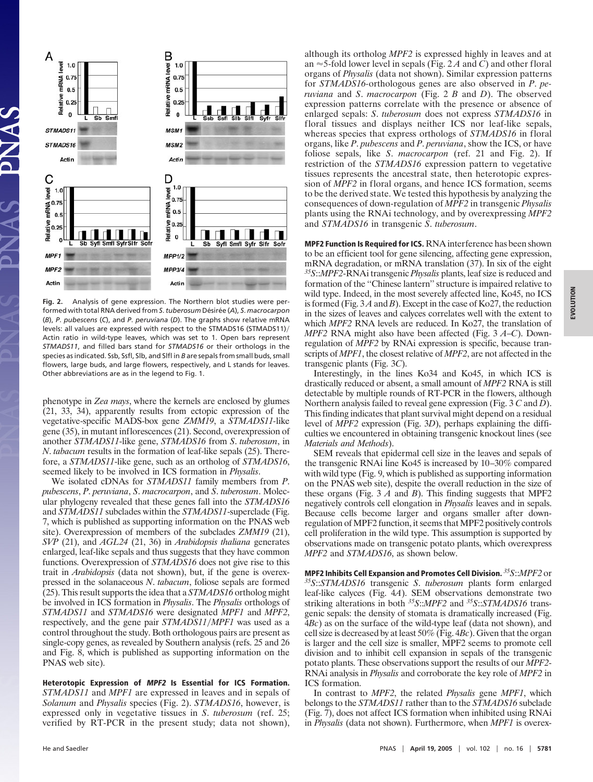

**Fig. 2.** Analysis of gene expression. The Northern blot studies were performed with total RNA derived from *S. tuberosum* Désirée (A), *S. macrocarpon* (*B*), *P*. *pubescens* (*C*), and *P*. *peruviana* (*D*). The graphs show relative mRNA levels: all values are expressed with respect to the STMADS16 (STMADS11)/ Actin ratio in wild-type leaves, which was set to 1. Open bars represent *STMADS11*, and filled bars stand for *STMADS16* or their orthologs in the species as indicated. Ssb, Ssfl, Slb, and Slfl in *B* are sepals from small buds, small flowers, large buds, and large flowers, respectively, and L stands for leaves. Other abbreviations are as in the legend to Fig. 1.

phenotype in *Zea mays*, where the kernels are enclosed by glumes (21, 33, 34), apparently results from ectopic expression of the vegetative-specific MADS-box gene *ZMM19*, a *STMADS11-*like gene (35), in mutant inflorescences (21). Second, overexpression of another *STMADS11*-like gene, *STMADS16* from *S*. *tuberosum*, in *N*. *tabacum* results in the formation of leaf-like sepals (25). Therefore, a *STMADS11*-like gene, such as an ortholog of *STMADS16*, seemed likely to be involved in ICS formation in *Physalis*.

We isolated cDNAs for *STMADS11* family members from *P*. *pubescens*, *P*. *peruviana*, *S*. *macrocarpon*, and *S*. *tuberosum*. Molecular phylogeny revealed that these genes fall into the *STMADS16* and *STMADS11* subclades within the *STMADS11*-superclade (Fig. 7, which is published as supporting information on the PNAS web site). Overexpression of members of the subclades *ZMM19* (21), *SVP* (21), and *AGL24* (21, 36) in *Arabidopsis thaliana* generates enlarged, leaf-like sepals and thus suggests that they have common functions. Overexpression of *STMADS16* does not give rise to this trait in *Arabidopsis* (data not shown), but, if the gene is overexpressed in the solanaceous *N*. *tabacum*, foliose sepals are formed (25). This result supports the idea that a *STMADS16* ortholog might be involved in ICS formation in *Physalis*. The *Physalis* orthologs of *STMADS11* and *STMADS16* were designated *MPF1* and *MPF2*, respectively, and the gene pair *STMADS11*/*MPF1* was used as a control throughout the study. Both orthologous pairs are present as single-copy genes, as revealed by Southern analysis (refs. 25 and 26 and Fig. 8, which is published as supporting information on the PNAS web site).

**Heterotopic Expression of MPF2 Is Essential for ICS Formation.** *STMADS11* and *MPF1* are expressed in leaves and in sepals of *Solanum* and *Physalis* species (Fig. 2). *STMADS16*, however, is expressed only in vegetative tissues in *S*. *tuberosum* (ref. 25; verified by RT-PCR in the present study; data not shown), although its ortholog *MPF2* is expressed highly in leaves and at an  $\approx$  5-fold lower level in sepals (Fig. 2A and C) and other floral organs of *Physalis* (data not shown). Similar expression patterns for *STMADS16-*orthologous genes are also observed in *P*. *peruviana* and *S*. *macrocarpon* (Fig. 2 *B* and *D*). The observed expression patterns correlate with the presence or absence of enlarged sepals: *S*. *tuberosum* does not express *STMADS16* in floral tissues and displays neither ICS nor leaf-like sepals, whereas species that express orthologs of *STMADS16* in floral organs, like *P*. *pubescens* and *P*. *peruviana*, show the ICS, or have foliose sepals, like *S*. *macrocarpon* (ref. 21 and Fig. 2). If restriction of the *STMADS16* expression pattern to vegetative tissues represents the ancestral state, then heterotopic expression of *MPF2* in floral organs, and hence ICS formation, seems to be the derived state. We tested this hypothesis by analyzing the consequences of down-regulation of *MPF2* in transgenic *Physalis* plants using the RNAi technology, and by overexpressing *MPF2* and *STMADS16* in transgenic *S*. *tuberosum*.

**MPF2 Function Is Required for ICS.** RNA interference has been shown to be an efficient tool for gene silencing, affecting gene expression, mRNA degradation, or mRNA translation (37). In six of the eight *35S*::*MPF2*-RNAi transgenic *Physalis* plants, leaf size is reduced and formation of the ''Chinese lantern'' structure is impaired relative to wild type. Indeed, in the most severely affected line, Ko45, no ICS is formed (Fig. 3*A*and *B*). Except in the case of Ko27, the reduction in the sizes of leaves and calyces correlates well with the extent to which *MPF2* RNA levels are reduced. In Ko27, the translation of *MPF2* RNA might also have been affected (Fig. 3 *A*–*C*). Downregulation of *MPF2* by RNAi expression is specific, because transcripts of *MPF1*, the closest relative of *MPF2*, are not affected in the transgenic plants (Fig. 3*C*).

Interestingly, in the lines Ko34 and Ko45, in which ICS is drastically reduced or absent, a small amount of *MPF2* RNA is still detectable by multiple rounds of RT-PCR in the flowers, although Northern analysis failed to reveal gene expression (Fig. 3 *C* and *D*). This finding indicates that plant survival might depend on a residual level of *MPF2* expression (Fig. 3*D*), perhaps explaining the difficulties we encountered in obtaining transgenic knockout lines (see *Materials and Methods*).

SEM reveals that epidermal cell size in the leaves and sepals of the transgenic RNAi line Ko45 is increased by 10–30% compared with wild type (Fig. 9, which is published as supporting information on the PNAS web site), despite the overall reduction in the size of these organs (Fig. 3 *A* and *B*). This finding suggests that MPF2 negatively controls cell elongation in *Physalis* leaves and in sepals. Because cells become larger and organs smaller after downregulation of MPF2 function, it seems that MPF2 positively controls cell proliferation in the wild type. This assumption is supported by observations made on transgenic potato plants, which overexpress *MPF2* and *STMADS16*, as shown below.

**MPF2 Inhibits Cell Expansion and Promotes Cell Division.** *35S*::*MPF2* or *35S*::*STMADS16* transgenic *<sup>S</sup>*. *tuberosum* plants form enlarged leaf-like calyces (Fig. 4*A*). SEM observations demonstrate two striking alterations in both *35S*::*MPF2* and *35S*::*STMADS16* transgenic sepals: the density of stomata is dramatically increased (Fig. 4*Bc*) as on the surface of the wild-type leaf (data not shown), and cell size is decreased by at least 50% (Fig. 4*Bc*). Given that the organ is larger and the cell size is smaller, MPF2 seems to promote cell division and to inhibit cell expansion in sepals of the transgenic potato plants. These observations support the results of our *MPF2*- RNAi analysis in *Physalis* and corroborate the key role of *MPF2* in ICS formation.

In contrast to *MPF2*, the related *Physalis* gene *MPF1*, which belongs to the *STMADS11* rather than to the *STMADS16* subclade (Fig. 7), does not affect ICS formation when inhibited using RNAi in *Physalis* (data not shown). Furthermore, when *MPF1* is overex-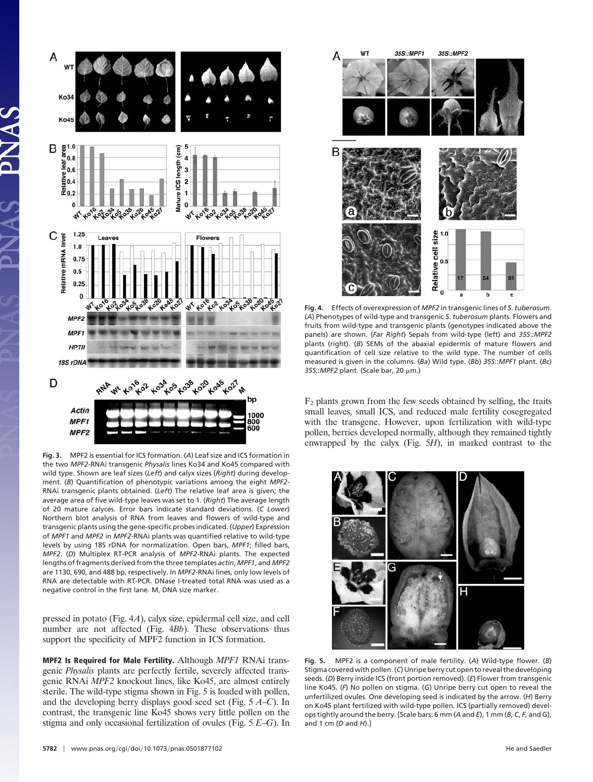

**Fig. 3.** MPF2 is essential for ICS formation. (*A*) Leaf size and ICS formation in the two *MPF2*-RNAi transgenic *Physalis* lines Ko34 and Ko45 compared with wild type. Shown are leaf sizes (*Left*) and calyx sizes (*Right*) during development. (*B*) Quantification of phenotypic variations among the eight *MPF2*- RNAi transgenic plants obtained. (*Left*) The relative leaf area is given; the average area of five wild-type leaves was set to 1. (*Right*) The average length of 20 mature calyces. Error bars indicate standard deviations. (*C Lower*) Northern blot analysis of RNA from leaves and flowers of wild-type and transgenic plants using the gene-specific probes indicated. (*Upper*) Expression of *MPF1* and *MPF2* in *MPF2-*RNAi plants was quantified relative to wild-type levels by using 18S rDNA for normalization. Open bars, *MPF1*; filled bars, *MPF2*. (*D*) Multiplex RT-PCR analysis of *MPF2*-RNAi plants. The expected lengths of fragments derived from the three templates *actin*, *MPF1*, and *MPF2* are 1130, 690, and 488 bp, respectively. In *MPF2*-RNAi lines, only low levels of RNA are detectable with RT-PCR. DNase I-treated total RNA was used as a negative control in the first lane. M, DNA size marker.

pressed in potato (Fig. 4*A*), calyx size, epidermal cell size, and cell number are not affected (Fig. 4*Bb*). These observations thus support the specificity of MPF2 function in ICS formation.

**MPF2 Is Required for Male Fertility.** Although *MPF1* RNAi transgenic *Physalis* plants are perfectly fertile, severely affected transgenic RNAi *MPF2* knockout lines, like Ko45, are almost entirely sterile. The wild-type stigma shown in Fig. 5 is loaded with pollen, and the developing berry displays good seed set (Fig. 5 *A*–*C*). In contrast, the transgenic line Ko45 shows very little pollen on the stigma and only occasional fertilization of ovules (Fig. 5 *E*–*G*). In



**Fig. 4.** Effects of overexpression of *MPF2* in transgenic lines of *S*.*tuberosum*. (*A*) Phenotypes of wild-type and transgenic *S*. *tuberosum* plants. Flowers and fruits from wild-type and transgenic plants (genotypes indicated above the panels) are shown. (*Far Right*) Sepals from wild-type (left) and *35S*::*MPF2* plants (right). (*B*) SEMs of the abaxial epidermis of mature flowers and quantification of cell size relative to the wild type. The number of cells measured is given in the columns. (*Ba*) Wild type. (*Bb*) *35S*::*MPF1* plant. (*Bc*) 35S:: *MPF2* plant. (Scale bar, 20  $\mu$ m.)

 $F<sub>2</sub>$  plants grown from the few seeds obtained by selfing, the traits small leaves, small ICS, and reduced male fertility cosegregated with the transgene. However, upon fertilization with wild-type pollen, berries developed normally, although they remained tightly enwrapped by the calyx (Fig. 5*H*), in marked contrast to the



**Fig. 5.** MPF2 is a component of male fertility. (*A*) Wild-type flower. (*B*) Stigma covered with pollen. (*C*) Unripe berry cut open to reveal the developing seeds. (*D*) Berry inside ICS (front portion removed). (*E*) Flower from transgenic line Ko45. (*F*) No pollen on stigma. (*G*) Unripe berry cut open to reveal the unfertilized ovules. One developing seed is indicated by the arrow. (*H*) Berry on Ko45 plant fertilized with wild-type pollen. ICS (partially removed) develops tightly around the berry. [Scale bars: 6 mm (*A* and *E*), 1 mm (*B*, *C*, *F*, and G), and 1 cm (*D* and *H*).]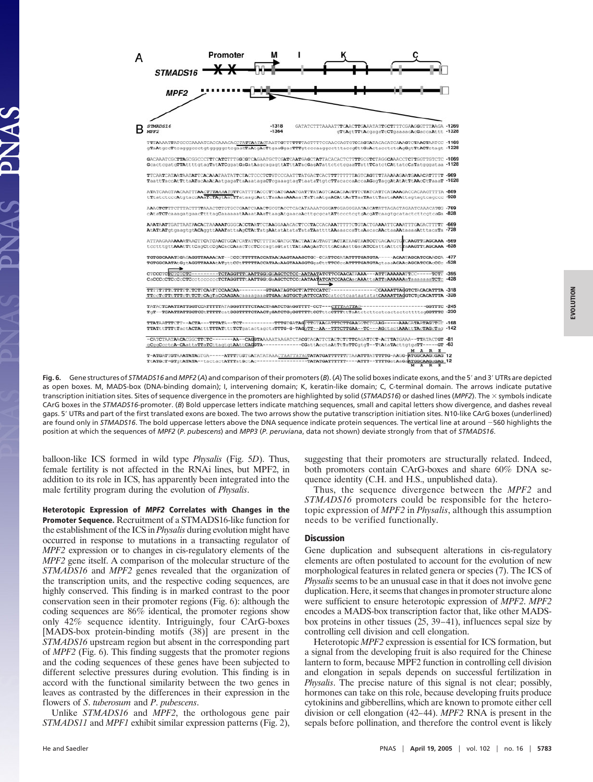

**Fig. 6.** Gene structures of *STMADS16* and *MPF2* (*A*) and comparison of their promoters (*B*). (*A*) The solid boxes indicate exons, and the 5- and 3- UTRs are depicted as open boxes. M, MADS-box (DNA-binding domain); I, intervening domain; K, keratin-like domain; C, C-terminal domain. The arrows indicate putative transcription initiation sites. Sites of sequence divergence in the promoters are highlighted by solid (*STMADS16*) or dashed lines (*MPF2*). The  $\times$  symbols indicate CArG boxes in the *STMADS16*-promoter. (*B*) Bold uppercase letters indicate matching sequences, small and capital letters show divergence, and dashes reveal gaps. 5- UTRs and part of the first translated exons are boxed. The two arrows show the putative transcription initiation sites. N10-like CArG boxes (underlined) are found only in *STMADS16*. The bold uppercase letters above the DNA sequence indicate protein sequences. The vertical line at around -560 highlights the position at which the sequences of *MPF2* (*P*. *pubescens*) and *MPP3* (*P*. *peruviana*, data not shown) deviate strongly from that of *STMADS16*.

balloon-like ICS formed in wild type *Physalis* (Fig. 5*D*). Thus, female fertility is not affected in the RNAi lines, but MPF2, in addition to its role in ICS, has apparently been integrated into the male fertility program during the evolution of *Physalis*.

**Heterotopic Expression of MPF2 Correlates with Changes in the Promoter Sequence.** Recruitment of a STMADS16-like function for the establishment of the ICS in *Physalis* during evolution might have occurred in response to mutations in a transacting regulator of *MPF2* expression or to changes in cis-regulatory elements of the *MPF2* gene itself. A comparison of the molecular structure of the *STMADS16* and *MPF2* genes revealed that the organization of the transcription units, and the respective coding sequences, are highly conserved. This finding is in marked contrast to the poor conservation seen in their promoter regions (Fig. 6): although the coding sequences are 86% identical, the promoter regions show only 42% sequence identity. Intriguingly, four CArG-boxes [MADS-box protein-binding motifs (38)] are present in the *STMADS16* upstream region but absent in the corresponding part of *MPF2* (Fig. 6). This finding suggests that the promoter regions and the coding sequences of these genes have been subjected to different selective pressures during evolution. This finding is in accord with the functional similarity between the two genes in leaves as contrasted by the differences in their expression in the flowers of *S*. *tuberosum* and *P*. *pubescens*.

Unlike *STMADS16* and *MPF2*, the orthologous gene pair *STMADS11* and *MPF1* exhibit similar expression patterns (Fig. 2), suggesting that their promoters are structurally related. Indeed, both promoters contain CArG-boxes and share 60% DNA sequence identity (C.H. and H.S., unpublished data).

Thus, the sequence divergence between the *MPF2* and *STMADS16* promoters could be responsible for the heterotopic expression of *MPF2* in *Physalis*, although this assumption needs to be verified functionally.

## **Discussion**

Gene duplication and subsequent alterations in cis-regulatory elements are often postulated to account for the evolution of new morphological features in related genera or species (7). The ICS of *Physalis* seems to be an unusual case in that it does not involve gene duplication. Here, it seems that changes in promoter structure alone were sufficient to ensure heterotopic expression of *MPF2*. *MPF2* encodes a MADS-box transcription factor that, like other MADSbox proteins in other tissues (25, 39–41), influences sepal size by controlling cell division and cell elongation.

Heterotopic *MPF2* expression is essential for ICS formation, but a signal from the developing fruit is also required for the Chinese lantern to form, because MPF2 function in controlling cell division and elongation in sepals depends on successful fertilization in *Physalis*. The precise nature of this signal is not clear; possibly, hormones can take on this role, because developing fruits produce cytokinins and gibberellins, which are known to promote either cell division or cell elongation (42–44). *MPF2* RNA is present in the sepals before pollination, and therefore the control event is likely